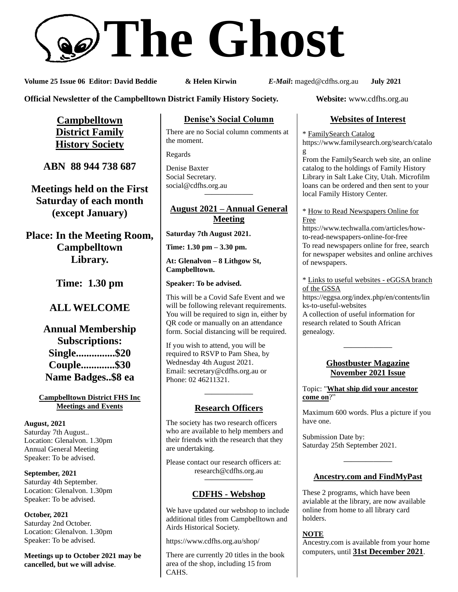# **The Ghost**

**Volume 25 Issue 06 Editor: David Beddie & Helen Kirwin** *E-Mail***:** maged@cdfhs.org.au **July 2021**

**Official Newsletter of the Campbelltown District Family History Society. Website:** www.cdfhs.org.au

**Campbelltown District Family History Society**

**ABN 88 944 738 687**

**Meetings held on the First Saturday of each month (except January)**

**Place: In the Meeting Room, Campbelltown Library.**

**Time: 1.30 pm**

# **ALL WELCOME**

**Annual Membership Subscriptions: Single...............\$20 Couple.............\$30 Name Badges..\$8 ea**

#### **Campbelltown District FHS Inc Meetings and Events**

**August, 2021** Saturday 7th August.. Location: Glenalvon. 1.30pm Annual General Meeting Speaker: To be advised.

**September, 2021** Saturday 4th September. Location: Glenalvon. 1.30pm Speaker: To be advised.

**October, 2021** Saturday 2nd October. Location: Glenalvon. 1.30pm Speaker: To be advised.

**Meetings up to October 2021 may be cancelled, but we will advise**.

#### **Denise's Social Column**

There are no Social column comments at the moment.

Regards

Denise Baxter Social Secretary. [social@cdfhs.org.au](mailto:social@cdfhs.org.au) **——————–**

#### **August 2021 – Annual General Meeting**

**Saturday 7th August 2021.**

**Time: 1.30 pm – 3.30 pm.**

**At: Glenalvon – 8 Lithgow St, Campbelltown.**

**Speaker: To be advised.**

This will be a Covid Safe Event and we will be following relevant requirements. You will be required to sign in, either by QR code or manually on an attendance form. Social distancing will be required.

If you wish to attend, you will be required to RSVP to Pam Shea, by Wednesday 4th August 2021. Email: [secretary@cdfhs.org.au](mailto:secretary@cdfhs.org.au) or Phone: 02 46211321.

# **——————– Research Officers**

The society has two research officers who are available to help members and their friends with the research that they are undertaking.

Please contact our research officers at: research@cdfhs.org.au

# **——————– CDFHS - Webshop**

We have updated our webshop to include additional titles from Campbelltown and Airds Historical Society.

https://www.cdfhs.org.au/shop/

There are currently 20 titles in the book area of the shop, including 15 from CAHS.

# **Websites of Interest**

\* FamilySearch Catalog

https://www.familysearch.org/search/catalo

g From the FamilySearch web site, an online catalog to the holdings of Family History Library in Salt Lake City, Utah. Microfilm loans can be ordered and then sent to your local Family History Center.

\* How to Read Newspapers Online for Free

https://www.techwalla.com/articles/howto-read-newspapers-online-for-free To read newspapers online for free, search for newspaper websites and online archives of newspapers.

\* Links to useful websites - eGGSA branch of the GSSA

https://eggsa.org/index.php/en/contents/lin ks-to-useful-websites A collection of useful information for research related to South African genealogy.

#### **Ghostbuster Magazine November 2021 Issue**

**——————–**

Topic: "**What ship did your ancestor come on**?"

Maximum 600 words. Plus a picture if you have one.

Submission Date by: Saturday 25th September 2021.

#### **Ancestry.com and FindMyPast**

**——————–**

These 2 programs, which have been avialable at the library, are now available online from home to all library card holders.

#### **NOTE**

Ancestry.com is available from your home computers, until **31st December 2021**.